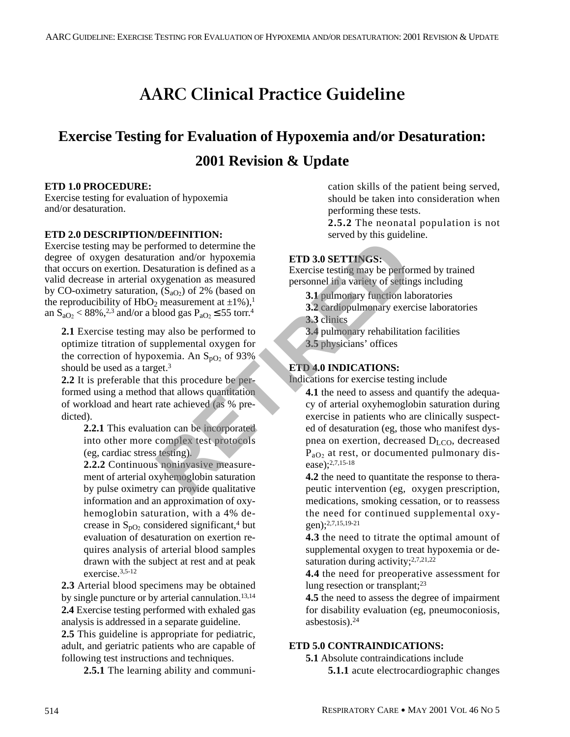# **AARC Clinical Practice Guideline**

# **Exercise Testing for Evaluation of Hypoxemia and/or Desaturation: 2001 Revision & Update**

# **ETD 1.0 PROCEDURE:**

Exercise testing for evaluation of hypoxemia and/or desaturation.

#### **ETD 2.0 DESCRIPTION/DEFINITION:**

Exercise testing may be performed to determine the degree of oxygen desaturation and/or hypoxemia that occurs on exertion. Desaturation is defined as a valid decrease in arterial oxygenation as measured by CO-oximetry saturation,  $(S_{aO_2})$  of 2% (based on the reproducibility of HbO<sub>2</sub> measurement at  $\pm 1\%$ ),<sup>1</sup> an  $S_{aO_2}$  < 88%,<sup>2,3</sup> and/or a blood gas  $P_{aO_2}$   $\leq$  55 torr.<sup>4</sup>

**2.1** Exercise testing may also be performed to optimize titration of supplemental oxygen for the correction of hypoxemia. An  $S_{pQ_2}$  of 93% should be used as a target.<sup>3</sup>

**2.2** It is preferable that this procedure be performed using a method that allows quantitation of workload and heart rate achieved (as % predicted).

> **2.2.1** This evaluation can be incorporated into other more complex test protocols (eg, cardiac stress testing).

> **2.2.2** Continuous noninvasive measurement of arterial oxyhemoglobin saturation by pulse oximetry can provide qualitative information and an approximation of oxyhemoglobin saturation, with a 4% decrease in  $S_{pQ_2}$  considered significant,<sup>4</sup> but evaluation of desaturation on exertion requires analysis of arterial blood samples drawn with the subject at rest and at peak exercise.3,5-12

**2.3** Arterial blood specimens may be obtained by single puncture or by arterial cannulation.<sup>13,14</sup> **2.4** Exercise testing performed with exhaled gas analysis is addressed in a separate guideline.

**2.5** This guideline is appropriate for pediatric, adult, and geriatric patients who are capable of following test instructions and techniques.

**2.5.1** The learning ability and communi-

cation skills of the patient being served, should be taken into consideration when performing these tests.

**2.5.2** The neonatal population is not served by this guideline.

# **ETD 3.0 SETTINGS:**

Exercise testing may be performed by trained personnel in a variety of settings including

- **3.1** pulmonary function laboratories
- **3.2** cardiopulmonary exercise laboratories **3.3** clinics
- **3.4** pulmonary rehabilitation facilities
- **3.5** physicians' offices

# **ETD 4.0 INDICATIONS:**

Indications for exercise testing include

**4.1** the need to assess and quantify the adequacy of arterial oxyhemoglobin saturation during exercise in patients who are clinically suspected of desaturation (eg, those who manifest dyspnea on exertion, decreased D<sub>LCO</sub>, decreased P<sub>aO2</sub> at rest, or documented pulmonary disease);2,7,15-18 Formed to determine the<br>
assumition is defined as a<br>
staturation is defined as a<br>
staturation is defined as a<br>
Exercise testing may be performed<br>
(S<sub>aO</sub>) of 2<sup>3</sup>% (based on<br>  $\frac{(S_{\alpha}^{0.0}) \cdot 6^{0.05}}{24.0 \cdot 10^{0.05}}$  and a

**4.2** the need to quantitate the response to therapeutic intervention (eg, oxygen prescription, medications, smoking cessation, or to reassess the need for continued supplemental oxygen);2,7,15,19-21

**4.3** the need to titrate the optimal amount of supplemental oxygen to treat hypoxemia or desaturation during activity; $2,7,21,22$ 

**4.4** the need for preoperative assessment for lung resection or transplant; $^{23}$ 

**4.5** the need to assess the degree of impairment for disability evaluation (eg, pneumoconiosis, asbestosis).24

# **ETD 5.0 CONTRAINDICATIONS:**

**5.1** Absolute contraindications include **5.1.1** acute electrocardiographic changes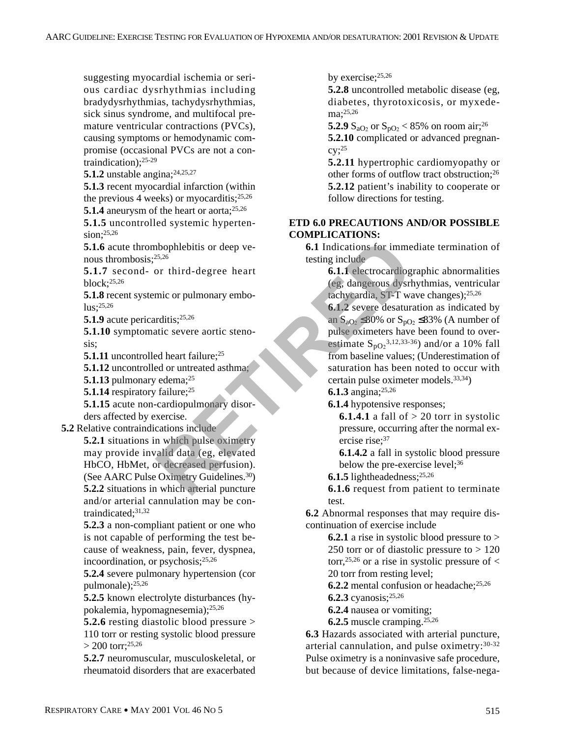suggesting myocardial ischemia or serious cardiac dysrhythmias including bradydysrhythmias, tachydysrhythmias, sick sinus syndrome, and multifocal premature ventricular contractions (PVCs), causing symptoms or hemodynamic compromise (occasional PVCs are not a contraindication);25-29

**5.1.2** unstable angina;<sup>24,25,27</sup>

**5.1.3** recent myocardial infarction (within the previous 4 weeks) or myocarditis;  $25,26$ 

**5.1.4** aneurysm of the heart or aorta;<sup>25,26</sup>

**5.1.5** uncontrolled systemic hypertension;<sup>25,26</sup>

**5.1.6** acute thrombophlebitis or deep venous thrombosis;25,26

**5.1.7** second- or third-degree heart block;25,26

**5.1.8** recent systemic or pulmonary embo- $\ln s$ ;  $^{25,26}$ 

**5.1.9** acute pericarditis;<sup>25,26</sup>

**5.1.10** symptomatic severe aortic stenosis;

**5.1.11** uncontrolled heart failure;<sup>25</sup>

**5.1.12** uncontrolled or untreated asthma;

**5.1.13** pulmonary edema; $^{25}$ 

**5.1.14** respiratory failure;<sup>25</sup>

**5.1.15** acute non-cardiopulmonary disorders affected by exercise.

**5.2** Relative contraindications include

**5.2.1** situations in which pulse oximetry may provide invalid data (eg, elevated HbCO, HbMet, or decreased perfusion). (See AARC Pulse Oximetry Guidelines.<sup>30</sup>) **5.2.2** situations in which arterial puncture and/or arterial cannulation may be contraindicated;31,32

**5.2.3** a non-compliant patient or one who is not capable of performing the test because of weakness, pain, fever, dyspnea, incoordination, or psychosis;25,26

**5.2.4** severe pulmonary hypertension (cor pulmonale);25,26

**5.2.5** known electrolyte disturbances (hypokalemia, hypomagnesemia);25,26

**5.2.6** resting diastolic blood pressure > 110 torr or resting systolic blood pressure  $> 200$  torr;<sup>25,26</sup>

**5.2.7** neuromuscular, musculoskeletal, or rheumatoid disorders that are exacerbated

by exercise;<sup>25,26</sup>

**5.2.8** uncontrolled metabolic disease (eg, diabetes, thyrotoxicosis, or myxedema: 25,26

**5.2.9**  $S_{aO_2}$  or  $S_{pO_2}$  < 85% on room air;<sup>26</sup> **5.2.10** complicated or advanced pregnan- $\text{cv}: \mathbb{R}^2$ 

**5.2.11** hypertrophic cardiomyopathy or other forms of outflow tract obstruction;26 **5.2.12** patient's inability to cooperate or follow directions for testing.

#### **ETD 6.0 PRECAUTIONS AND/OR POSSIBLE COMPLICATIONS:**

**6.1** Indications for immediate termination of testing include

> **6.1.1** electrocardiographic abnormalities (eg, dangerous dysrhythmias, ventricular tachycardia, ST-T wave changes);25,26

**6.1.2** severe desaturation as indicated by an  $S_{aO_2} \leq 80\%$  or  $S_{pO_2} \leq 83\%$  (A number of pulse oximeters have been found to overestimate  $S_{pQ_2}^{3,12,33-36}$  and/or a 10% fall from baseline values; (Underestimation of saturation has been noted to occur with certain pulse oximeter models.33,34) Moophlebitis or deep vertically the testing include<br>
or third-degree heart<br>
testing include<br>
or third-degree heart<br>
failure,<sup>25</sup><br>
ratitis,<sup>25,26</sup><br>
an S<sub>aO2</sub> ≤80% or S<sub>pO2</sub><br>
ratitis,<sup>25,26</sup><br>
an S<sub>aO2</sub> ≤80% or S<sub>pO2</sub><br>
exerce

**6.1.3** angina;25,26

**6.1.4** hypotensive responses;

**6.1.4.1** a fall of  $> 20$  torr in systolic pressure, occurring after the normal exercise rise;<sup>37</sup>

**6.1.4.2** a fall in systolic blood pressure below the pre-exercise level;<sup>36</sup>

**6.1.5** lightheadedness;25,26

**6.1.6** request from patient to terminate test.

**6.2** Abnormal responses that may require discontinuation of exercise include

> **6.2.1** a rise in systolic blood pressure to > 250 torr or of diastolic pressure to  $> 120$ torr,<sup>25,26</sup> or a rise in systolic pressure of  $\lt$ 20 torr from resting level;

**6.2.2** mental confusion or headache; $25,26$ **6.2.3** cyanosis;25,26

**6.2.4** nausea or vomiting;

**6.2.5** muscle cramping.<sup>25,26</sup>

**6.3** Hazards associated with arterial puncture, arterial cannulation, and pulse oximetry:30-32 Pulse oximetry is a noninvasive safe procedure, but because of device limitations, false-nega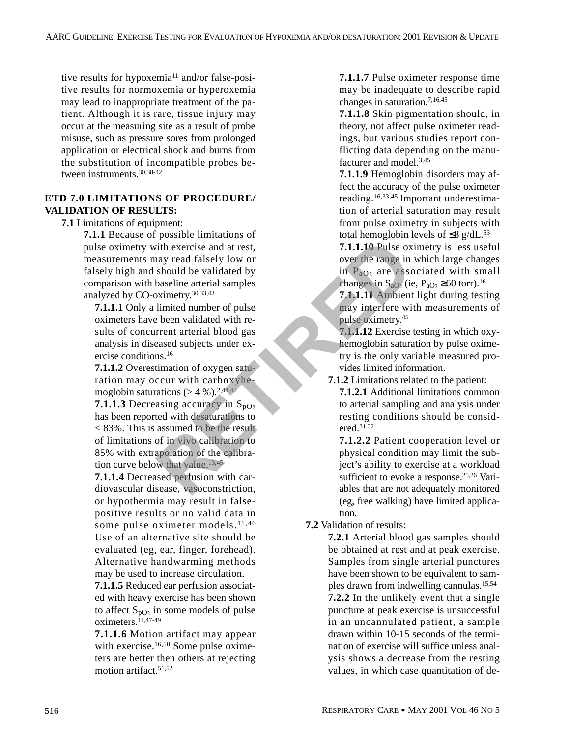tive results for hypoxemia<sup>11</sup> and/or false-positive results for normoxemia or hyperoxemia may lead to inappropriate treatment of the patient. Although it is rare, tissue injury may occur at the measuring site as a result of probe misuse, such as pressure sores from prolonged application or electrical shock and burns from the substitution of incompatible probes between instruments.30,38-42

# **ETD 7.0 LIMITATIONS OF PROCEDURE/ VALIDATION OF RESULTS:**

**7.1** Limitations of equipment:

**7.1.1** Because of possible limitations of pulse oximetry with exercise and at rest, measurements may read falsely low or falsely high and should be validated by comparison with baseline arterial samples analyzed by CO-oximetry.30,33,43

**7.1.1.1** Only a limited number of pulse oximeters have been validated with results of concurrent arterial blood gas analysis in diseased subjects under exercise conditions.16

**7.1.1.2** Overestimation of oxygen saturation may occur with carboxyhemoglobin saturations  $(> 4\%).^{2,44,45}$ 

**7.1.1.3** Decreasing accuracy in  $S_{pQ_2}$ has been reported with desaturations to < 83%. This is assumed to be the result of limitations of in vivo calibration to 85% with extrapolation of the calibration curve below that value.13,45 Find exercise and at rest,<br>
any read falsely low or<br>
should be validated by<br>
should be validated by<br>
showner the range in<br>
should be validated by<br>
the validated by<br>
in P<sub>aO2</sub> are assoc<br>
changes in S<sub>aO2</sub> (i.11.11 Ambient<br>

**7.1.1.4** Decreased perfusion with cardiovascular disease, vasoconstriction, or hypothermia may result in falsepositive results or no valid data in some pulse oximeter models.<sup>11,46</sup> Use of an alternative site should be evaluated (eg, ear, finger, forehead). Alternative handwarming methods may be used to increase circulation.

**7.1.1.5** Reduced ear perfusion associated with heavy exercise has been shown to affect  $S_{pQ_2}$  in some models of pulse oximeters.<sup>11,47-49</sup>

**7.1.1.6** Motion artifact may appear with exercise.<sup>16,50</sup> Some pulse oximeters are better then others at rejecting motion artifact.51,52

**7.1.1.7** Pulse oximeter response time may be inadequate to describe rapid changes in saturation.7,16,45

**7.1.1.8** Skin pigmentation should, in theory, not affect pulse oximeter readings, but various studies report conflicting data depending on the manufacturer and model.3,45

**7.1.1.9** Hemoglobin disorders may affect the accuracy of the pulse oximeter reading.16,33,45 Important underestimation of arterial saturation may result from pulse oximetry in subjects with total hemoglobin levels of  $\leq 8$  g/dL.<sup>53</sup>

**7.1.1.10** Pulse oximetry is less useful over the range in which large changes in  $P_{aO_2}$  are associated with small changes in  $S_{aO2}$  (ie,  $P_{aO2} \ge 60$  torr).<sup>16</sup>

**7.1.1.11** Ambient light during testing may interfere with measurements of pulse oximetry.45

**7.1.1.12** Exercise testing in which oxyhemoglobin saturation by pulse oximetry is the only variable measured provides limited information.

**7.1.2** Limitations related to the patient:

**7.1.2.1** Additional limitations common to arterial sampling and analysis under resting conditions should be considered.31,32

**7.1.2.2** Patient cooperation level or physical condition may limit the subject's ability to exercise at a workload sufficient to evoke a response.<sup>25,26</sup> Variables that are not adequately monitored (eg, free walking) have limited application.

**7.2** Validation of results:

**7.2.1** Arterial blood gas samples should be obtained at rest and at peak exercise. Samples from single arterial punctures have been shown to be equivalent to samples drawn from indwelling cannulas.15,54 **7.2.2** In the unlikely event that a single puncture at peak exercise is unsuccessful in an uncannulated patient, a sample drawn within 10-15 seconds of the termination of exercise will suffice unless analysis shows a decrease from the resting values, in which case quantitation of de-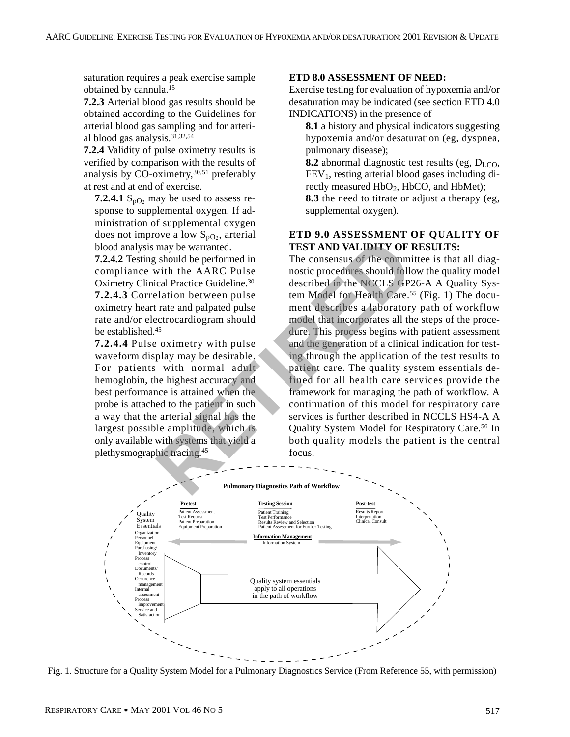saturation requires a peak exercise sample obtained by cannula.15

**7.2.3** Arterial blood gas results should be obtained according to the Guidelines for arterial blood gas sampling and for arterial blood gas analysis.31,32,54

**7.2.4** Validity of pulse oximetry results is verified by comparison with the results of analysis by CO-oximetry,30,51 preferably at rest and at end of exercise.

**7.2.4.1**  $S_{pO_2}$  may be used to assess response to supplemental oxygen. If administration of supplemental oxygen does not improve a low  $S_{pQ_2}$ , arterial blood analysis may be warranted.

**7.2.4.2** Testing should be performed in compliance with the AARC Pulse Oximetry Clinical Practice Guideline.30 **7.2.4.3** Correlation between pulse oximetry heart rate and palpated pulse rate and/or electrocardiogram should be established.<sup>45</sup>

**7.2.4.4** Pulse oximetry with pulse waveform display may be desirable. For patients with normal adult hemoglobin, the highest accuracy and best performance is attained when the probe is attached to the patient in such a way that the arterial signal has the largest possible amplitude, which is only available with systems that yield a plethysmographic tracing.45

#### **ETD 8.0 ASSESSMENT OF NEED:**

Exercise testing for evaluation of hypoxemia and/or desaturation may be indicated (see section ETD 4.0 INDICATIONS) in the presence of

**8.1** a history and physical indicators suggesting hypoxemia and/or desaturation (eg, dyspnea, pulmonary disease);

**8.2** abnormal diagnostic test results (eg, D<sub>LCO</sub>,  $FEV<sub>1</sub>$ , resting arterial blood gases including directly measured HbO<sub>2</sub>, HbCO, and HbMet); **8.3** the need to titrate or adjust a therapy (eg,

supplemental oxygen).

#### **ETD 9.0 ASSESSMENT OF QUALITY OF TEST AND VALIDITY OF RESULTS:**

The consensus of the committee is that all diagnostic procedures should follow the quality model described in the NCCLS GP26-A A Quality System Model for Health Care.<sup>55</sup> (Fig. 1) The document describes a laboratory path of workflow model that incorporates all the steps of the procedure. This process begins with patient assessment and the generation of a clinical indication for testing through the application of the test results to patient care. The quality system essentials defined for all health care services provide the framework for managing the path of workflow. A continuation of this model for respiratory care services is further described in NCCLS HS4-A A Quality System Model for Respiratory Care.56 In both quality models the patient is the central focus. may be warranted.<br> **REST AND VALIDITY OF I**<br>
Resolute the AARC Pulse<br>
in the AARC Pulse<br>
in the AARC Pulse<br>
in the consensus of the commit<br>
in the AARC Pulse<br>
in the consensus of the commit<br>
in the AARC Pulse<br>
in the conse



Fig. 1. Structure for a Quality System Model for a Pulmonary Diagnostics Service (From Reference 55, with permission)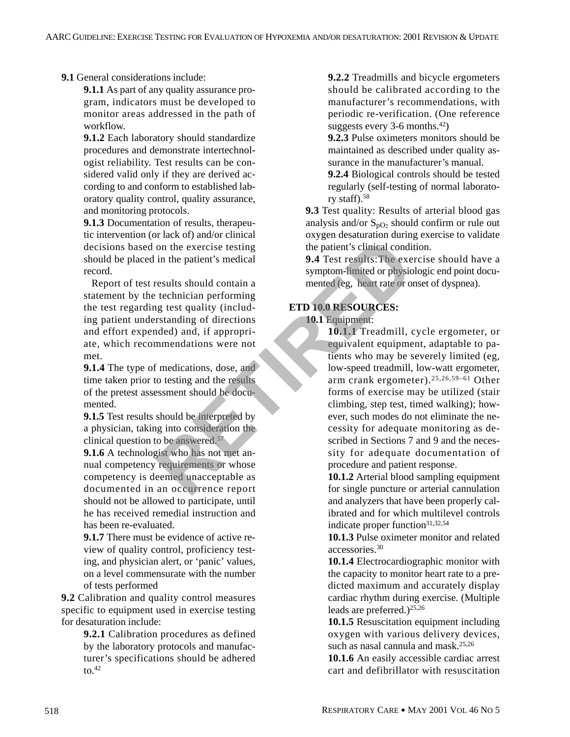#### **9.1** General considerations include:

**9.1.1** As part of any quality assurance program, indicators must be developed to monitor areas addressed in the path of workflow.

**9.1.2** Each laboratory should standardize procedures and demonstrate intertechnologist reliability. Test results can be considered valid only if they are derived according to and conform to established laboratory quality control, quality assurance, and monitoring protocols.

**9.1.3** Documentation of results, therapeutic intervention (or lack of) and/or clinical decisions based on the exercise testing should be placed in the patient's medical record.

Report of test results should contain a statement by the technician performing the test regarding test quality (including patient understanding of directions and effort expended) and, if appropriate, which recommendations were not met.

**9.1.4** The type of medications, dose, and time taken prior to testing and the results of the pretest assessment should be documented.

**9.1.5** Test results should be interpreted by a physician, taking into consideration the clinical question to be answered.57

**9.1.6** A technologist who has not met annual competency requirements or whose competency is deemed unacceptable as documented in an occurrence report should not be allowed to participate, until he has received remedial instruction and has been re-evaluated.

**9.1.7** There must be evidence of active review of quality control, proficiency testing, and physician alert, or 'panic' values, on a level commensurate with the number of tests performed

**9.2** Calibration and quality control measures specific to equipment used in exercise testing for desaturation include:

> **9.2.1** Calibration procedures as defined by the laboratory protocols and manufacturer's specifications should be adhered to. $42$

**9.2.2** Treadmills and bicycle ergometers should be calibrated according to the manufacturer's recommendations, with periodic re-verification. (One reference suggests every  $3-6$  months.<sup>42</sup>)

**9.2.3** Pulse oximeters monitors should be maintained as described under quality assurance in the manufacturer's manual.

**9.2.4** Biological controls should be tested regularly (self-testing of normal laboratory staff).58

**9.3** Test quality: Results of arterial blood gas analysis and/or  $S_{pQ_2}$  should confirm or rule out oxygen desaturation during exercise to validate the patient's clinical condition.

**9.4** Test results:The exercise should have a symptom-limited or physiologic end point documented (eg, heart rate or onset of dyspnea).

# **ETD 10.0 RESOURCES:**

**10.1** Equipment:

**10.1.1** Treadmill, cycle ergometer, or equivalent equipment, adaptable to patients who may be severely limited (eg, low-speed treadmill, low-watt ergometer, arm crank ergometer).25,26,59–61 Other forms of exercise may be utilized (stair climbing, step test, timed walking); however, such modes do not eliminate the necessity for adequate monitoring as described in Sections 7 and 9 and the necessity for adequate documentation of procedure and patient response. For the exterior extended in the patient's clinical condition on the exercise testing<br>
in the patient's medical<br>
in the patient's clinical condition<br>
results should contain a<br>
sumptom-limited or physic<br>
results should cont

**10.1.2** Arterial blood sampling equipment for single puncture or arterial cannulation and analyzers that have been properly calibrated and for which multilevel controls indicate proper function<sup>31,32,54</sup>

**10.1.3** Pulse oximeter monitor and related accessories.30

**10.1.4** Electrocardiographic monitor with the capacity to monitor heart rate to a predicted maximum and accurately display cardiac rhythm during exercise. (Multiple leads are preferred.)<sup>25,26</sup>

**10.1.5** Resuscitation equipment including oxygen with various delivery devices, such as nasal cannula and mask.<sup>25,26</sup>

**10.1.6** An easily accessible cardiac arrest cart and defibrillator with resuscitation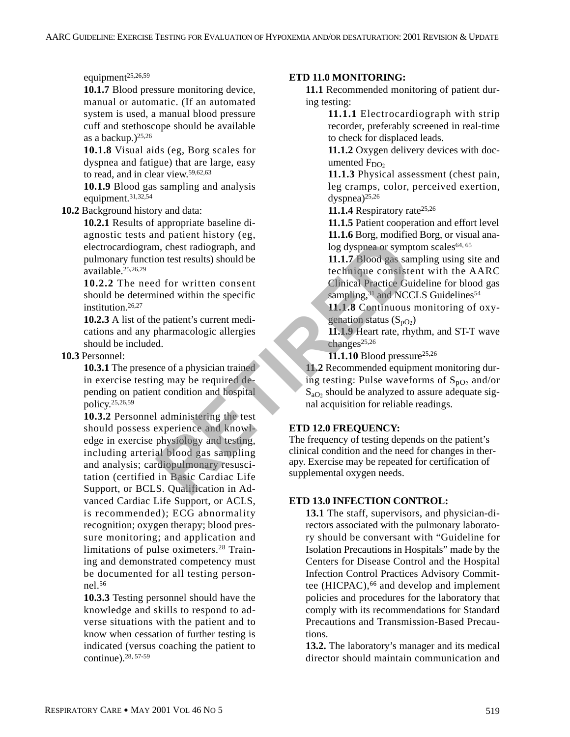#### equipment<sup>25,26,59</sup>

**10.1.7** Blood pressure monitoring device, manual or automatic. (If an automated system is used, a manual blood pressure cuff and stethoscope should be available as a backup.)25,26

**10.1.8** Visual aids (eg, Borg scales for dyspnea and fatigue) that are large, easy to read, and in clear view.59,62,63

**10.1.9** Blood gas sampling and analysis equipment.31,32,54

**10.2** Background history and data:

**10.2.1** Results of appropriate baseline diagnostic tests and patient history (eg, electrocardiogram, chest radiograph, and pulmonary function test results) should be available.25,26,29

**10.2.2** The need for written consent should be determined within the specific institution.26,27

**10.2.3** A list of the patient's current medications and any pharmacologic allergies should be included.

#### **10.3** Personnel:

**10.3.1** The presence of a physician trained in exercise testing may be required depending on patient condition and hospital policy.25,26,59

**10.3.2** Personnel administering the test should possess experience and knowledge in exercise physiology and testing, including arterial blood gas sampling and analysis; cardiopulmonary resuscitation (certified in Basic Cardiac Life Support, or BCLS. Qualification in Advanced Cardiac Life Support, or ACLS, is recommended); ECG abnormality recognition; oxygen therapy; blood pressure monitoring; and application and limitations of pulse oximeters.28 Training and demonstrated competency must be documented for all testing personnel.56 Find the specified and technique consisted for written consent<br>
ined within the specific and technique consisted for written consent<br>
ined within the specific and technique consisted for written consent<br>
ined within the sp

**10.3.3** Testing personnel should have the knowledge and skills to respond to adverse situations with the patient and to know when cessation of further testing is indicated (versus coaching the patient to continue).28, 57-59

#### **ETD 11.0 MONITORING:**

**11.1** Recommended monitoring of patient during testing:

> **11.1.1** Electrocardiograph with strip recorder, preferably screened in real-time to check for displaced leads.

> **11.1.2** Oxygen delivery devices with documented  $F_{DO2}$

> **11.1.3** Physical assessment (chest pain, leg cramps, color, perceived exertion, dyspnea)25,26

11.1.4 Respiratory rate<sup>25,26</sup>

**11.1.5** Patient cooperation and effort level **11.1.6** Borg, modified Borg, or visual analog dyspnea or symptom scales<sup>64, 65</sup>

**11.1.7** Blood gas sampling using site and technique consistent with the AARC Clinical Practice Guideline for blood gas sampling,<sup>31</sup> and NCCLS Guidelines<sup>54</sup>

**11.1.8** Continuous monitoring of oxygenation status  $(S_{pQ_2})$ 

**11.1.9** Heart rate, rhythm, and ST-T wave changes<sup>25,26</sup>

**11.1.10** Blood pressure<sup>25,26</sup>

**11.2** Recommended equipment monitoring during testing: Pulse waveforms of  $S_{pQ_2}$  and/or  $S_{aO<sub>2</sub>}$  should be analyzed to assure adequate signal acquisition for reliable readings.

# **ETD 12.0 FREQUENCY:**

The frequency of testing depends on the patient's clinical condition and the need for changes in therapy. Exercise may be repeated for certification of supplemental oxygen needs.

# **ETD 13.0 INFECTION CONTROL:**

**13.1** The staff, supervisors, and physician-directors associated with the pulmonary laboratory should be conversant with "Guideline for Isolation Precautions in Hospitals" made by the Centers for Disease Control and the Hospital Infection Control Practices Advisory Committee (HICPAC), $66$  and develop and implement policies and procedures for the laboratory that comply with its recommendations for Standard Precautions and Transmission-Based Precautions.

**13.2.** The laboratory's manager and its medical director should maintain communication and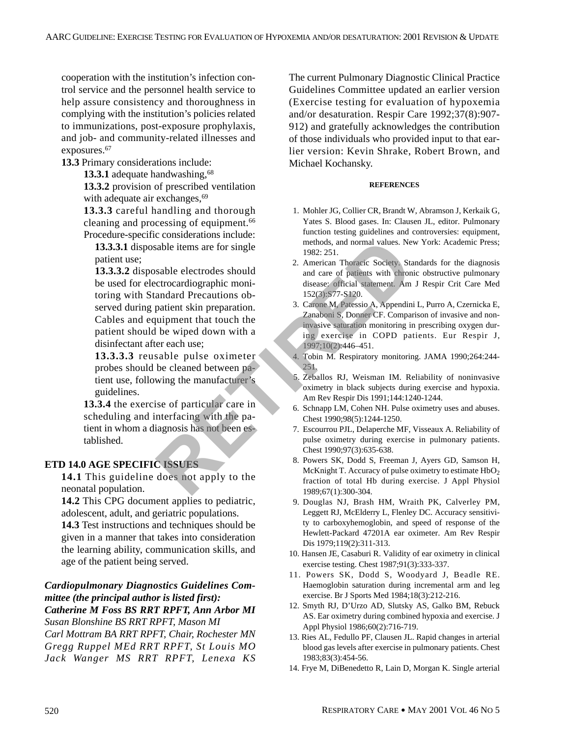cooperation with the institution's infection control service and the personnel health service to help assure consistency and thoroughness in complying with the institution's policies related to immunizations, post-exposure prophylaxis, and job- and community-related illnesses and exposures.<sup>67</sup>

**13.3** Primary considerations include:

13.3.1 adequate handwashing,<sup>68</sup>

**13.3.2** provision of prescribed ventilation with adequate air exchanges,<sup>69</sup>

**13.3.3** careful handling and thorough cleaning and processing of equipment.<sup>66</sup> Procedure-specific considerations include:

**13.3.3.1** disposable items are for single patient use;

**13.3.3.2** disposable electrodes should be used for electrocardiographic monitoring with Standard Precautions observed during patient skin preparation. Cables and equipment that touch the patient should be wiped down with a disinfectant after each use; and the stable items are for single<br>
1982: 251.<br>
and care of patients with chronomal values. Network of the same of patients with chronomal<br>
and care of patients with chronomal care of patients with chronomal<br>
and Precauti

**13.3.3.3** reusable pulse oximeter probes should be cleaned between patient use, following the manufacturer's guidelines.

**13.3.4** the exercise of particular care in scheduling and interfacing with the patient in whom a diagnosis has not been established.

# **ETD 14.0 AGE SPECIFIC ISSUES**

**14.1** This guideline does not apply to the neonatal population.

**14.2** This CPG document applies to pediatric, adolescent, adult, and geriatric populations.

**14.3** Test instructions and techniques should be given in a manner that takes into consideration the learning ability, communication skills, and age of the patient being served.

# *Cardiopulmonary Diagnostics Guidelines Committee (the principal author is listed first):*

*Catherine M Foss BS RRT RPFT, Ann Arbor MI Susan Blonshine BS RRT RPFT, Mason MI Carl Mottram BA RRT RPFT, Chair, Rochester MN Gregg Ruppel MEd RRT RPFT, St Louis MO Jack Wanger MS RRT RPFT, Lenexa KS* The current Pulmonary Diagnostic Clinical Practice Guidelines Committee updated an earlier version (Exercise testing for evaluation of hypoxemia and/or desaturation. Respir Care 1992;37(8):907- 912) and gratefully acknowledges the contribution of those individuals who provided input to that earlier version: Kevin Shrake, Robert Brown, and Michael Kochansky.

#### **REFERENCES**

- 1. Mohler JG, Collier CR, Brandt W, Abramson J, Kerkaik G, Yates S. Blood gases. In: Clausen JL, editor. Pulmonary function testing guidelines and controversies: equipment, methods, and normal values. New York: Academic Press; 1982: 251.
- 2. American Thoracic Society. Standards for the diagnosis and care of patients with chronic obstructive pulmonary disease: official statement. Am J Respir Crit Care Med 152(3):S77-S120.
- 3. Carone M, Patessio A, Appendini L, Purro A, Czernicka E, Zanaboni S, Donner CF. Comparison of invasive and noninvasive saturation monitoring in prescribing oxygen during exercise in COPD patients. Eur Respir J, 1997;10(2):446–451.
- 4. Tobin M. Respiratory monitoring. JAMA 1990;264:244- 251.
- 5. Zeballos RJ, Weisman IM. Reliability of noninvasive oximetry in black subjects during exercise and hypoxia. Am Rev Respir Dis 1991;144:1240-1244.
- 6. Schnapp LM, Cohen NH. Pulse oximetry uses and abuses. Chest 1990;98(5):1244-1250.
- 7. Escourrou PJL, Delaperche MF, Visseaux A. Reliability of pulse oximetry during exercise in pulmonary patients. Chest 1990;97(3):635-638.
- 8. Powers SK, Dodd S, Freeman J, Ayers GD, Samson H, McKnight T. Accuracy of pulse oximetry to estimate  $HbO<sub>2</sub>$ fraction of total Hb during exercise. J Appl Physiol 1989;67(1):300-304.
- 9. Douglas NJ, Brash HM, Wraith PK, Calverley PM, Leggett RJ, McElderry L, Flenley DC. Accuracy sensitivity to carboxyhemoglobin, and speed of response of the Hewlett-Packard 47201A ear oximeter. Am Rev Respir Dis 1979;119(2):311-313.
- 10. Hansen JE, Casaburi R. Validity of ear oximetry in clinical exercise testing. Chest 1987;91(3):333-337.
- 11. Powers SK, Dodd S, Woodyard J, Beadle RE. Haemoglobin saturation during incremental arm and leg exercise. Br J Sports Med 1984;18(3):212-216.
- 12. Smyth RJ, D'Urzo AD, Slutsky AS, Galko BM, Rebuck AS. Ear oximetry during combined hypoxia and exercise. J Appl Physiol 1986;60(2):716-719.
- 13. Ries AL, Fedullo PF, Clausen JL. Rapid changes in arterial blood gas levels after exercise in pulmonary patients. Chest 1983;83(3):454-56.
- 14. Frye M, DiBenedetto R, Lain D, Morgan K. Single arterial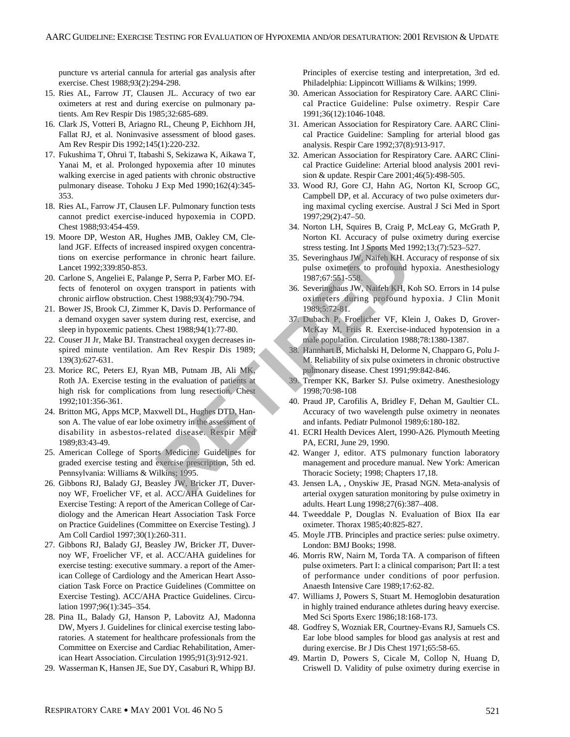puncture vs arterial cannula for arterial gas analysis after exercise. Chest 1988;93(2):294-298.

- 15. Ries AL, Farrow JT, Clausen JL. Accuracy of two ear oximeters at rest and during exercise on pulmonary patients. Am Rev Respir Dis 1985;32:685-689.
- 16. Clark JS, Votteri B, Ariagno RL, Cheung P, Eichhorn JH, Fallat RJ, et al. Noninvasive assessment of blood gases. Am Rev Respir Dis 1992;145(1):220-232.
- 17. Fukushima T, Ohrui T, Itabashi S, Sekizawa K, Aikawa T, Yanai M, et al. Prolonged hypoxemia after 10 minutes walking exercise in aged patients with chronic obstructive pulmonary disease. Tohoku J Exp Med 1990;162(4):345- 353.
- 18. Ries AL, Farrow JT, Clausen LF. Pulmonary function tests cannot predict exercise-induced hypoxemia in COPD. Chest 1988;93:454-459.
- 19. Moore DP, Weston AR, Hughes JMB, Oakley CM, Cleland JGF. Effects of increased inspired oxygen concentrations on exercise performance in chronic heart failure. Lancet 1992;339:850-853.
- 20. Carlone S, Angeliei E, Palange P, Serra P, Farber MO. Effects of fenoterol on oxygen transport in patients with chronic airflow obstruction. Chest 1988;93(4):790-794.
- 21. Bower JS, Brook CJ, Zimmer K, Davis D. Performance of a demand oxygen saver system during rest, exercise, and sleep in hypoxemic patients. Chest 1988;94(1):77-80.
- 22. Couser JI Jr, Make BJ. Transtracheal oxygen decreases inspired minute ventilation. Am Rev Respir Dis 1989; 139(3):627-631.
- 23. Morice RC, Peters EJ, Ryan MB, Putnam JB, Ali MK, Roth JA. Exercise testing in the evaluation of patients at high risk for complications from lung resection. Chest 1992;101:356-361. and inspired oxygen concentra-<br>
areas testing. Int J Sports Med 15<br>
are in chronic heart failure.<br>
The stering Int J Sports Med 15<br>
are in chronic heart failure.<br>
S. Severinghaus JW, Naifeh KH, K<br>
ge P, Serra P, Farber MO.
- 24. Britton MG, Apps MCP, Maxwell DL, Hughes DTD, Hanson A. The value of ear lobe oximetry in the assessment of disability in asbestos-related disease. Respir Med 1989;83:43-49.
- 25. American College of Sports Medicine. Guidelines for graded exercise testing and exercise prescription, 5th ed. Pennsylvania: Williams & Wilkins; 1995.
- 26. Gibbons RJ, Balady GJ, Beasley JW, Bricker JT, Duvernoy WF, Froelicher VF, et al. ACC/AHA Guidelines for Exercise Testing: A report of the American College of Cardiology and the American Heart Association Task Force on Practice Guidelines (Committee on Exercise Testing). J Am Coll Cardiol 1997;30(1):260-311.
- 27. Gibbons RJ, Balady GJ, Beasley JW, Bricker JT, Duvernoy WF, Froelicher VF, et al. ACC/AHA guidelines for exercise testing: executive summary. a report of the American College of Cardiology and the American Heart Association Task Force on Practice Guidelines (Committee on Exercise Testing). ACC/AHA Practice Guidelines. Circulation 1997;96(1):345–354.
- 28. Pina IL, Balady GJ, Hanson P, Labovitz AJ, Madonna DW, Myers J. Guidelines for clinical exercise testing laboratories. A statement for healthcare professionals from the Committee on Exercise and Cardiac Rehabilitation, American Heart Association. Circulation 1995;91(3):912-921.
- 29. Wasserman K, Hansen JE, Sue DY, Casaburi R, Whipp BJ.

Principles of exercise testing and interpretation, 3rd ed. Philadelphia: Lippincott Williams & Wilkins; 1999.

- 30. American Association for Respiratory Care. AARC Clinical Practice Guideline: Pulse oximetry. Respir Care 1991;36(12):1046-1048.
- 31. American Association for Respiratory Care. AARC Clinical Practice Guideline: Sampling for arterial blood gas analysis. Respir Care 1992;37(8):913-917.
- 32. American Association for Respiratory Care. AARC Clinical Practice Guideline: Arterial blood analysis 2001 revision & update. Respir Care 2001;46(5):498-505.
- 33. Wood RJ, Gore CJ, Hahn AG, Norton KI, Scroop GC, Campbell DP, et al. Accuracy of two pulse oximeters during maximal cycling exercise. Austral J Sci Med in Sport 1997;29(2):47–50.
- 34. Norton LH, Squires B, Craig P, McLeay G, McGrath P, Norton KI. Accuracy of pulse oximetry during exercise stress testing. Int J Sports Med 1992;13;(7):523–527.
- 35. Severinghaus JW, Naifeh KH. Accuracy of response of six pulse oximeters to profound hypoxia. Anesthesiology 1987;67:551-558.
- 36. Severinghaus JW, Naifeh KH, Koh SO. Errors in 14 pulse oximeters during profound hypoxia. J Clin Monit 1989;5:72-81.
- 37. Dubach P, Froelicher VF, Klein J, Oakes D, Grover-McKay M, Friis R. Exercise-induced hypotension in a male population. Circulation 1988;78:1380-1387.
- 38. Hannhart B, Michalski H, Delorme N, Chapparo G, Polu J-M. Reliability of six pulse oximeters in chronic obstructive pulmonary disease. Chest 1991;99:842-846.
- 39. Tremper KK, Barker SJ. Pulse oximetry. Anesthesiology 1998;70:98-108
- 40. Praud JP, Carofilis A, Bridley F, Dehan M, Gaultier CL. Accuracy of two wavelength pulse oximetry in neonates and infants. Pediatr Pulmonol 1989;6:180-182.
- 41. ECRI Health Devices Alert, 1990-A26. Plymouth Meeting PA, ECRI, June 29, 1990.
- 42. Wanger J, editor. ATS pulmonary function laboratory management and procedure manual. New York: American Thoracic Society; 1998; Chapters 17,18.
- 43. Jensen LA, , Onyskiw JE, Prasad NGN. Meta-analysis of arterial oxygen saturation monitoring by pulse oximetry in adults. Heart Lung 1998;27(6):387–408.
- 44. Tweeddale P, Douglas N. Evaluation of Biox IIa ear oximeter. Thorax 1985;40:825-827.
- 45. Moyle JTB. Principles and practice series: pulse oximetry. London: BMJ Books; 1998.
- 46. Morris RW, Nairn M, Torda TA. A comparison of fifteen pulse oximeters. Part I: a clinical comparison; Part II: a test of performance under conditions of poor perfusion. Anaesth Intensive Care 1989;17:62-82.
- 47. Williams J, Powers S, Stuart M. Hemoglobin desaturation in highly trained endurance athletes during heavy exercise. Med Sci Sports Exerc 1986;18:168-173.
- 48. Godfrey S, Wozniak ER, Courtney-Evans RJ, Samuels CS. Ear lobe blood samples for blood gas analysis at rest and during exercise. Br J Dis Chest 1971;65:58-65.
- 49. Martin D, Powers S, Cicale M, Collop N, Huang D, Criswell D. Validity of pulse oximetry during exercise in